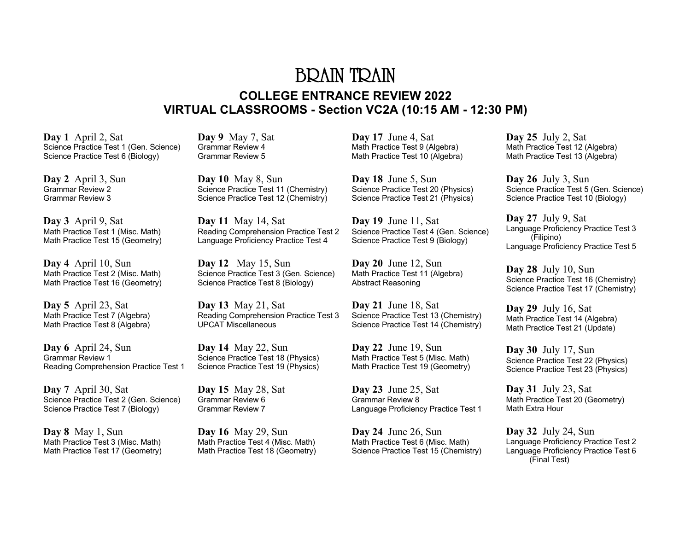## BRAIN TRAIN **COLLEGE ENTRANCE REVIEW 2022 VIRTUAL CLASSROOMS - Section VC2A (10:15 AM - 12:30 PM)**

**Day 1** April 2, Sat Science Practice Test 1 (Gen. Science) Science Practice Test 6 (Biology)

**Day 2** April 3, Sun Grammar Review 2 Grammar Review 3

**Day 3** April 9, Sat Math Practice Test 1 (Misc. Math) Math Practice Test 15 (Geometry)

**Day 4** April 10, Sun Math Practice Test 2 (Misc. Math) Math Practice Test 16 (Geometry)

**Day 5** April 23, Sat Math Practice Test 7 (Algebra) Math Practice Test 8 (Algebra)

**Day 6** April 24, Sun Grammar Review 1 Reading Comprehension Practice Test 1

**Day 7** April 30, Sat Science Practice Test 2 (Gen. Science) Science Practice Test 7 (Biology)

**Day 8** May 1, Sun Math Practice Test 3 (Misc. Math) Math Practice Test 17 (Geometry) **Day 9** May 7, Sat Grammar Review 4 Grammar Review 5

**Day 10** May 8, Sun Science Practice Test 11 (Chemistry) Science Practice Test 12 (Chemistry)

**Day 11** May 14, Sat Reading Comprehension Practice Test 2 Language Proficiency Practice Test 4

**Day 12** May 15, Sun Science Practice Test 3 (Gen. Science) Science Practice Test 8 (Biology)

**Day 13** May 21, Sat Reading Comprehension Practice Test 3 UPCAT Miscellaneous

**Day 14** May 22, Sun Science Practice Test 18 (Physics) Science Practice Test 19 (Physics)

**Day 15** May 28, Sat Grammar Review 6 Grammar Review 7

**Day 16** May 29, Sun Math Practice Test 4 (Misc. Math) Math Practice Test 18 (Geometry) **Day 17** June 4, Sat Math Practice Test 9 (Algebra) Math Practice Test 10 (Algebra)

**Day 18** June 5, Sun Science Practice Test 20 (Physics) Science Practice Test 21 (Physics)

**Day 19** June 11, Sat Science Practice Test 4 (Gen. Science) Science Practice Test 9 (Biology)

**Day 20** June 12, Sun Math Practice Test 11 (Algebra) Abstract Reasoning

**Day 21** June 18, Sat Science Practice Test 13 (Chemistry) Science Practice Test 14 (Chemistry)

**Day 22** June 19, Sun Math Practice Test 5 (Misc. Math) Math Practice Test 19 (Geometry)

**Day 23** June 25, Sat Grammar Review 8 Language Proficiency Practice Test 1

**Day 24** June 26, Sun Math Practice Test 6 (Misc. Math) Science Practice Test 15 (Chemistry) **Day 25** July 2, Sat Math Practice Test 12 (Algebra) Math Practice Test 13 (Algebra)

**Day 26** July 3, Sun Science Practice Test 5 (Gen. Science) Science Practice Test 10 (Biology)

**Day 27** July 9, Sat Language Proficiency Practice Test 3 (Filipino) Language Proficiency Practice Test 5

**Day 28** July 10, Sun Science Practice Test 16 (Chemistry) Science Practice Test 17 (Chemistry)

**Day 29** July 16, Sat Math Practice Test 14 (Algebra) Math Practice Test 21 (Update)

**Day 30** July 17, Sun Science Practice Test 22 (Physics) Science Practice Test 23 (Physics)

**Day 31** July 23, Sat Math Practice Test 20 (Geometry) Math Extra Hour

**Day 32** July 24, Sun Language Proficiency Practice Test 2 Language Proficiency Practice Test 6 (Final Test)